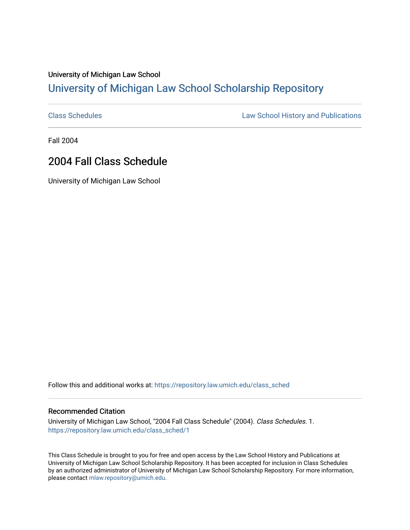## University of Michigan Law School [University of Michigan Law School Scholarship Repository](https://repository.law.umich.edu/)

[Class Schedules](https://repository.law.umich.edu/class_sched) **Law School History and Publications** 

Fall 2004

## 2004 Fall Class Schedule

University of Michigan Law School

Follow this and additional works at: [https://repository.law.umich.edu/class\\_sched](https://repository.law.umich.edu/class_sched?utm_source=repository.law.umich.edu%2Fclass_sched%2F1&utm_medium=PDF&utm_campaign=PDFCoverPages) 

## Recommended Citation

University of Michigan Law School, "2004 Fall Class Schedule" (2004). Class Schedules. 1. [https://repository.law.umich.edu/class\\_sched/1](https://repository.law.umich.edu/class_sched/1?utm_source=repository.law.umich.edu%2Fclass_sched%2F1&utm_medium=PDF&utm_campaign=PDFCoverPages) 

This Class Schedule is brought to you for free and open access by the Law School History and Publications at University of Michigan Law School Scholarship Repository. It has been accepted for inclusion in Class Schedules by an authorized administrator of University of Michigan Law School Scholarship Repository. For more information, please contact [mlaw.repository@umich.edu.](mailto:mlaw.repository@umich.edu)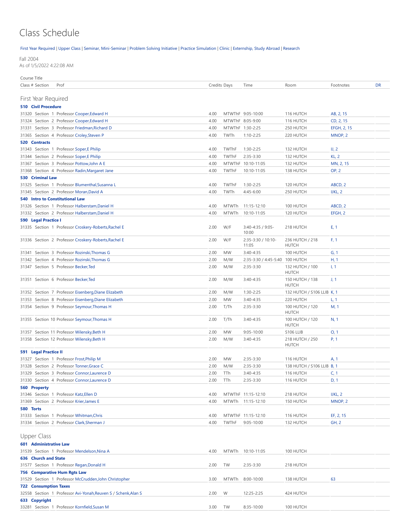## Class Schedule

[First Year Required](#page-1-0) | [Upper Class](#page-1-1) | [Seminar, Mini-Seminar](#page-3-0) | Problem Solving Initiative | [Practice Simulation](#page-3-1) | [Clinic](#page-3-2) | [Externship, Study Abroad](#page-4-0) | [Research](#page-4-1)

Fall 2004

As of 1/5/2022 4:22:08 AM

<span id="page-1-1"></span><span id="page-1-0"></span>

| Course Title                                                   |              |                  |                                 |                                 |              |           |
|----------------------------------------------------------------|--------------|------------------|---------------------------------|---------------------------------|--------------|-----------|
| Class # Section<br>Prof                                        | Credits Days |                  | Time                            | Room                            | Footnotes    | <b>DR</b> |
|                                                                |              |                  |                                 |                                 |              |           |
| First Year Required                                            |              |                  |                                 |                                 |              |           |
| <b>510 Civil Procedure</b>                                     |              |                  |                                 |                                 |              |           |
| 31320 Section 1 Professor Cooper, Edward H                     | 4.00         |                  | MTWThF 9:05-10:00               | 116 HUTCH                       | AB, 2, 15    |           |
| 31324 Section 2 Professor Cooper, Edward H                     | 4.00         |                  | MTWThF 8:05-9:00                | 116 HUTCH                       | CD, 2, 15    |           |
| 31331 Section 3 Professor Friedman, Richard D                  | 4.00         | MTWThF 1:30-2:25 |                                 | 250 HUTCH                       | EFGH, 2, 15  |           |
| 31365 Section 4 Professor Croley, Steven P                     | 4.00         | TWTh             | $1:10-2:25$                     | 220 HUTCH                       | MNOP, 2      |           |
| 520 Contracts                                                  |              |                  |                                 |                                 |              |           |
| 31343 Section 1 Professor Soper, E Philip                      | 4.00         | TWThF            | 1:30-2:25                       | 132 HUTCH                       | U, 2         |           |
| 31344 Section 2 Professor Soper,E Philip                       | 4.00         | TWThF            | $2:35-3:30$                     | 132 HUTCH                       | <b>KL, 2</b> |           |
| 31367 Section 3 Professor Pottow, John A E                     | 4.00         |                  | MTWThF 10:10-11:05              | 132 HUTCH                       | MN, 2, 15    |           |
| 31368 Section 4 Professor Radin, Margaret Jane                 | 4.00         | <b>TWThF</b>     | 10:10-11:05                     | 138 HUTCH                       | <b>OP, 2</b> |           |
| 530 Criminal Law                                               |              |                  |                                 |                                 |              |           |
| 31325 Section 1 Professor Blumenthal, Susanna L                | 4.00         | TWThF            | 1:30-2:25                       | 120 HUTCH                       | ABCD, 2      |           |
| 31345 Section 2 Professor Moran, David A                       | 4.00         | TWTh             | 4:45-6:00                       | 250 HUTCH                       | IJKL, 2      |           |
| <b>540 Intro to Constitutional Law</b>                         |              |                  |                                 |                                 |              |           |
| 31326 Section 1 Professor Halberstam, Daniel H                 | 4.00         | MTWTh            | 11:15-12:10                     | 100 HUTCH                       | ABCD, 2      |           |
| 31332 Section 2 Professor Halberstam, Daniel H                 | 4.00         | MTWTh            | 10:10-11:05                     | 120 HUTCH                       | EFGH, 2      |           |
| 590 Legal Practice I                                           |              |                  |                                 |                                 |              |           |
| 31335 Section 1 Professor Croskery-Roberts, Rachel E           | 2.00         | W/F              | 3:40-4:35 / 9:05-<br>10:00      | 218 HUTCH                       | E, 1         |           |
| 31336 Section 2 Professor Croskery-Roberts, Rachel E           | 2.00         | W/F              | 2:35-3:30 / 10:10-<br>11:05     | 236 HUTCH / 218<br><b>HUTCH</b> | F, 1         |           |
| 31341 Section 3 Professor Rozinski, Thomas G                   | 2.00         | <b>MW</b>        | 3:40-4:35                       | 100 HUTCH                       | G, 1         |           |
| 31342 Section 4 Professor Rozinski, Thomas G                   | 2.00         | M/W              | 2:35-3:30 / 4:45-5:40 100 HUTCH |                                 | H, 1         |           |
|                                                                |              |                  | $2:35-3:30$                     |                                 |              |           |
| 31347 Section 5 Professor Becker, Ted                          | 2.00         | M/W              |                                 | 132 HUTCH / 100<br><b>HUTCH</b> | 1, 1         |           |
| 31351 Section 6 Professor Becker, Ted                          | 2.00         | M/W              | 3:40-4:35                       | 150 HUTCH / 138<br><b>HUTCH</b> | J, 1         |           |
| 31352 Section 7 Professor Eisenberg, Diane Elizabeth           | 2.00         | M/W              | $1:30-2:25$                     | 132 HUTCH / S106 LLIB K, 1      |              |           |
| 31353 Section 8 Professor Eisenberg, Diane Elizabeth           | 2.00         | <b>MW</b>        | 3:40-4:35                       | 220 HUTCH                       | L, 1         |           |
| 31354 Section 9 Professor Seymour, Thomas H                    | 2.00         | T/Th             | $2:35-3:30$                     | 100 HUTCH / 120<br><b>HUTCH</b> | M, 1         |           |
| 31355 Section 10 Professor Seymour, Thomas H                   | 2.00         | T/Th             | 3:40-4:35                       | 100 HUTCH / 120<br><b>HUTCH</b> | N, 1         |           |
| 31357 Section 11 Professor Wilensky, Beth H                    | 2.00         | <b>MW</b>        | 9:05-10:00                      | S106 LLIB                       | O, 1         |           |
| 31358 Section 12 Professor Wilensky, Beth H                    | 2.00         | M/W              | 3:40-4:35                       | 218 HUTCH / 250<br><b>HUTCH</b> | P, 1         |           |
| 591 Legal Practice II                                          |              |                  |                                 |                                 |              |           |
| 31327 Section 1 Professor Frost, Philip M                      | 2.00         | MW               | $2:35-3:30$                     | 116 HUTCH                       | A, 1         |           |
| 31328 Section 2 Professor Tonner, Grace C                      | 2.00         | M/W              | 2:35-3:30                       | 138 HUTCH / S106 LLIB B, 1      |              |           |
| 31329 Section 3 Professor Connor, Laurence D                   | 2.00         | TTh              | 3:40-4:35                       | 116 HUTCH                       | C, 1         |           |
| 31330 Section 4 Professor Connor, Laurence D                   | 2.00         | TTh              | 2:35-3:30                       | 116 HUTCH                       | D, 1         |           |
| 560 Property                                                   |              |                  |                                 |                                 |              |           |
| 31346 Section 1 Professor Katz, Ellen D                        | 4.00         |                  | MTWThF 11:15-12:10              | 218 HUTCH                       | IJKL, 2      |           |
| 31369 Section 2 Professor Krier, James E                       | 4.00         | MTWTh            | 11:15-12:10                     | 150 HUTCH                       | MNOP, 2      |           |
| 580 Torts                                                      |              |                  |                                 |                                 |              |           |
| 31333 Section 1 Professor Whitman, Chris                       | 4.00         |                  | MTWThF 11:15-12:10              | 116 HUTCH                       | EF, 2, 15    |           |
| 31334 Section 2 Professor Clark, Sherman J                     | 4.00         | TWThF            | $9:05 - 10:00$                  | 132 HUTCH                       | <b>GH, 2</b> |           |
|                                                                |              |                  |                                 |                                 |              |           |
| <b>Upper Class</b>                                             |              |                  |                                 |                                 |              |           |
| 601 Administrative Law                                         |              |                  |                                 |                                 |              |           |
| 31539 Section 1 Professor Mendelson, Nina A                    | 4.00         | MTWTh            | 10:10-11:05                     | 100 HUTCH                       |              |           |
| 636 Church and State                                           |              |                  |                                 |                                 |              |           |
| 31577 Section 1 Professor Regan, Donald H                      | 2.00         | TW               | 2:35-3:30                       | 218 HUTCH                       |              |           |
| 756 Comparative Hum Rgts Law                                   |              |                  |                                 |                                 |              |           |
| 31529 Section 1 Professor McCrudden, John Christopher          | 3.00         | MTWTh            | 8:00-10:00                      | 138 HUTCH                       | 63           |           |
| <b>722 Consumption Taxes</b>                                   |              |                  |                                 |                                 |              |           |
| 32558 Section 1 Professor Avi-Yonah, Reuven S / Schenk, Alan S | 2.00         | W                | 12:25-2:25                      | 424 HUTCH                       |              |           |
| 633 Copyright                                                  |              |                  |                                 |                                 |              |           |
| 33281 Section 1 Professor Kornfield, Susan M                   | 3.00         | TW               | 8:35-10:00                      | 100 HUTCH                       |              |           |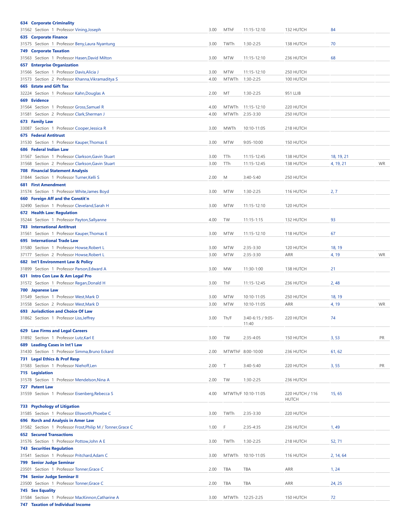| <b>634 Corporate Criminality</b>                                                             |      |              |                     |                 |            |           |
|----------------------------------------------------------------------------------------------|------|--------------|---------------------|-----------------|------------|-----------|
| 31562 Section 1 Professor Vining, Joseph                                                     | 3.00 | MThF         | 11:15-12:10         | 132 HUTCH       | 84         |           |
| <b>635 Corporate Finance</b>                                                                 |      |              |                     |                 |            |           |
| 31575 Section 1 Professor Beny, Laura Nyantung                                               | 3.00 | TWTh         | 1:30-2:25           | 138 HUTCH       | 70         |           |
| <b>749 Corporate Taxation</b>                                                                |      |              |                     |                 |            |           |
| 31563 Section 1 Professor Hasen, David Milton                                                | 3.00 | <b>MTW</b>   | 11:15-12:10         | 236 HUTCH       | 68         |           |
| <b>657 Enterprise Organization</b>                                                           |      |              |                     |                 |            |           |
| 31566 Section 1 Professor Davis, Alicia J                                                    | 3.00 | <b>MTW</b>   | 11:15-12:10         | 250 HUTCH       |            |           |
| 31573 Section 2 Professor Khanna, Vikramaditya S                                             | 4.00 | <b>MTWTh</b> | 1:30-2:25           | 100 HUTCH       |            |           |
| 665 Estate and Gift Tax                                                                      |      |              |                     |                 |            |           |
| 32224 Section 1 Professor Kahn, Douglas A                                                    | 2.00 | MT           | 1:30-2:25           | 951 LLIB        |            |           |
| 669 Evidence                                                                                 |      |              |                     |                 |            |           |
| 31564 Section 1 Professor Gross, Samuel R                                                    | 4.00 | <b>MTWTh</b> | 11:15-12:10         | 220 HUTCH       |            |           |
| 31581 Section 2 Professor Clark, Sherman J                                                   | 4.00 | <b>MTWTh</b> | 2:35-3:30           | 250 HUTCH       |            |           |
| 673 Family Law                                                                               |      |              |                     |                 |            |           |
| 33087 Section 1 Professor Cooper, Jessica R                                                  | 3.00 | <b>MWTh</b>  | 10:10-11:05         | 218 HUTCH       |            |           |
| <b>675 Federal Antitrust</b>                                                                 |      |              |                     |                 |            |           |
| 31530 Section 1 Professor Kauper, Thomas E                                                   | 3.00 | <b>MTW</b>   | $9:05 - 10:00$      | 150 HUTCH       |            |           |
| 686 Federal Indian Law                                                                       |      |              |                     |                 |            |           |
| 31567 Section 1 Professor Clarkson, Gavin Stuart                                             | 3.00 | TTh          | 11:15-12:45         | 138 HUTCH       | 18, 19, 21 |           |
|                                                                                              |      |              |                     |                 |            |           |
| 31568 Section 2 Professor Clarkson, Gavin Stuart                                             | 3.00 | TTh          | 11:15-12:45         | 138 HUTCH       | 4, 19, 21  | <b>WR</b> |
| <b>708 Financial Statement Analysis</b>                                                      |      |              |                     |                 |            |           |
| 31844 Section 1 Professor Turner, Kelli S                                                    | 2.00 | M            | $3:40 - 5:40$       | 250 HUTCH       |            |           |
| <b>681 First Amendment</b>                                                                   |      |              |                     |                 |            |           |
| 31574 Section 1 Professor White, James Boyd                                                  | 3.00 | <b>MTW</b>   | 1:30-2:25           | 116 HUTCH       | 2, 7       |           |
| 660 Foreign Aff and the Constit'n                                                            |      |              |                     |                 |            |           |
| 32490 Section 1 Professor Cleveland, Sarah H                                                 | 3.00 | <b>MTW</b>   | 11:15-12:10         | 120 HUTCH       |            |           |
| 672 Health Law: Regulation                                                                   |      |              |                     |                 |            |           |
| 35244 Section 1 Professor Payton, Sallyanne                                                  | 4.00 | TW           | $11:15 - 1:15$      | 132 HUTCH       | 93         |           |
| <b>783 International Antitrust</b>                                                           |      |              |                     |                 |            |           |
| 31561 Section 1 Professor Kauper, Thomas E                                                   | 3.00 | <b>MTW</b>   | 11:15-12:10         | 118 HUTCH       | 67         |           |
| 695 International Trade Law                                                                  |      |              |                     |                 |            |           |
| 31580 Section 1 Professor Howse, Robert L                                                    | 3.00 | <b>MTW</b>   | 2:35-3:30           | 120 HUTCH       | 18, 19     |           |
| 37177 Section 2 Professor Howse, Robert L                                                    | 3.00 | <b>MTW</b>   | $2:35-3:30$         | ARR             | 4, 19      | <b>WR</b> |
| 682 Int'l Environment Law & Policy                                                           |      |              |                     |                 |            |           |
| 31899 Section 1 Professor Parson, Edward A                                                   | 3.00 | <b>MW</b>    | 11:30-1:00          | 138 HUTCH       | 21         |           |
| 631 Intro Con Law & Am Legal Pro                                                             |      |              |                     |                 |            |           |
| 31572 Section 1 Professor Regan, Donald H                                                    | 3.00 | ThF          | 11:15-12:45         | 236 HUTCH       | 2,48       |           |
|                                                                                              |      |              |                     |                 |            |           |
| 700 Japanese Law                                                                             |      |              |                     |                 |            |           |
| 31549 Section 1 Professor West, Mark D                                                       | 3.00 | <b>MTW</b>   | 10:10-11:05         | 250 HUTCH       | 18, 19     |           |
| 31558 Section 2 Professor West, Mark D                                                       | 3.00 | <b>MTW</b>   | 10:10-11:05         | ARR             | 4, 19      | <b>WR</b> |
| 693 Jurisdiction and Choice Of Law                                                           |      |              |                     |                 |            |           |
| 31862 Section 1 Professor Liss, Jeffrey                                                      | 3.00 | Th/F         | $3:40-6:15/9:05-$   | 220 HUTCH       | 74         |           |
|                                                                                              |      |              | 11:40               |                 |            |           |
| <b>629 Law Firms and Legal Careers</b>                                                       |      |              |                     |                 |            |           |
| 31892 Section 1 Professor Lutz, Karl E                                                       | 3.00 | TW           | 2:35-4:05           | 150 HUTCH       | 3, 53      | PR        |
| 689 Leading Cases in Int'l Law                                                               |      |              |                     |                 |            |           |
| 31430 Section 1 Professor Simma, Bruno Eckard                                                | 2.00 |              | MTWThF 8:00-10:00   | 236 HUTCH       | 61, 62     |           |
| 731 Legal Ethics & Prof Resp                                                                 |      |              |                     |                 |            |           |
| 31583 Section 1 Professor Niehoff,Len                                                        | 2.00 | Т            | $3:40-5:40$         | 220 HUTCH       | 3, 55      | PR        |
| 715 Legislation                                                                              |      |              |                     |                 |            |           |
| 31578 Section 1 Professor Mendelson, Nina A                                                  | 2.00 | TW           | 1:30-2:25           | 236 HUTCH       |            |           |
| 727 Patent Law                                                                               |      |              |                     |                 |            |           |
| 31559 Section 1 Professor Eisenberg, Rebecca S                                               | 4.00 |              | MTWTh/F 10:10-11:05 | 220 HUTCH / 116 | 15, 65     |           |
|                                                                                              |      |              |                     | <b>HUTCH</b>    |            |           |
| 733 Psychology of Litigation                                                                 |      |              |                     |                 |            |           |
| 31585 Section 1 Professor Ellsworth, Phoebe C                                                | 3.00 | TWTh         | 2:35-3:30           | 220 HUTCH       |            |           |
| 696 Rsrch and Analysis in Amer Law                                                           |      |              |                     |                 |            |           |
| 31582 Section 1 Professor Frost, Philip M / Tonner, Grace C                                  | 1.00 | F            | 2:35-4:35           | 236 HUTCH       | 1,49       |           |
| <b>652 Secured Transactions</b>                                                              |      |              |                     |                 |            |           |
| 31576 Section 1 Professor Pottow, John A E                                                   | 3.00 | TWTh         | 1:30-2:25           | 218 HUTCH       | 52, 71     |           |
| <b>743 Securities Regulation</b>                                                             |      |              |                     |                 |            |           |
|                                                                                              |      |              | 10:10-11:05         | 116 HUTCH       | 2, 14, 64  |           |
|                                                                                              |      |              |                     |                 |            |           |
| 31541 Section 1 Professor Pritchard, Adam C                                                  | 3.00 | <b>MTWTh</b> |                     |                 |            |           |
| 799 Senior Judge Seminar                                                                     |      |              |                     |                 |            |           |
| 23501 Section 1 Professor Tonner, Grace C                                                    | 2.00 | TBA          | TBA                 | ARR             | 1, 24      |           |
| 794 Senior Judge Seminar II                                                                  |      |              |                     |                 |            |           |
| 23500 Section 1 Professor Tonner, Grace C                                                    | 2.00 | TBA          | TBA                 | ARR             | 24, 25     |           |
| <b>745 Sex Equality</b>                                                                      |      |              |                     |                 |            |           |
| 31584 Section 1 Professor MacKinnon, Catharine A<br><b>747 Taxation of Individual Income</b> | 3.00 | MTWTh        | 12:25-2:25          | 150 HUTCH       | 72         |           |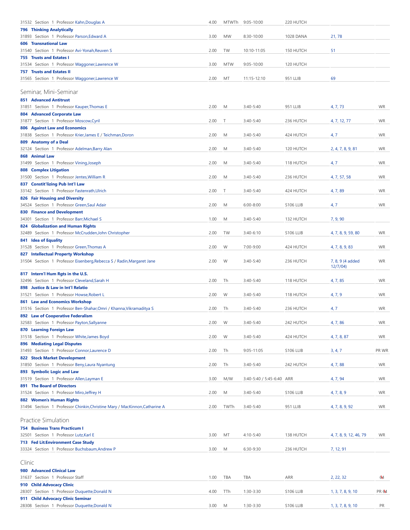<span id="page-3-2"></span><span id="page-3-1"></span><span id="page-3-0"></span>

| 31532 Section 1 Professor Kahn, Douglas A                                    | 4.00 | MTWTh      | $9:05 - 10:00$            | 220 HUTCH |                        |              |
|------------------------------------------------------------------------------|------|------------|---------------------------|-----------|------------------------|--------------|
| <b>796 Thinking Analytically</b>                                             |      |            |                           |           |                        |              |
| 31893 Section 1 Professor Parson, Edward A                                   | 3.00 | <b>MW</b>  | 8:30-10:00                | 1028 DANA | 21,78                  |              |
| <b>606 Transnational Law</b>                                                 |      |            |                           |           |                        |              |
| 31540 Section 1 Professor Avi-Yonah, Reuven S                                | 2.00 | TW         | 10:10-11:05               | 150 HUTCH | 51                     |              |
| 755 Trusts and Estates I                                                     |      |            |                           |           |                        |              |
| 31534 Section 1 Professor Waggoner, Lawrence W                               | 3.00 | <b>MTW</b> | $9:05 - 10:00$            | 120 HUTCH |                        |              |
| <b>757 Trusts and Estates II</b>                                             |      |            |                           |           | 69                     |              |
| 31565 Section 1 Professor Waggoner, Lawrence W                               | 2.00 | MT         | 11:15-12:10               | 951 LLIB  |                        |              |
| Seminar, Mini-Seminar                                                        |      |            |                           |           |                        |              |
|                                                                              |      |            |                           |           |                        |              |
| <b>851 Advanced Antitrust</b>                                                |      |            |                           |           |                        |              |
| 31851 Section 1 Professor Kauper, Thomas E                                   | 2.00 | M          | 3:40-5:40                 | 951 LLIB  | 4, 7, 73               | <b>WR</b>    |
| 804 Advanced Corporate Law<br>31877 Section 1 Professor Moscow, Cyril        | 2.00 | T          | $3:40 - 5:40$             | 236 HUTCH | 4, 7, 12, 77           | <b>WR</b>    |
| <b>806 Against Law and Economics</b>                                         |      |            |                           |           |                        |              |
| 31838 Section 1 Professor Krier, James E / Teichman, Doron                   | 2.00 | M          | 3:40-5:40                 | 424 HUTCH | 4, 7                   | <b>WR</b>    |
| 809 Anatomy of a Deal                                                        |      |            |                           |           |                        |              |
| 32124 Section 1 Professor Adelman, Barry Alan                                | 2.00 | M          | $3:40 - 5:40$             | 120 HUTCH | 2, 4, 7, 8, 9, 81      | <b>WR</b>    |
| 868 Animal Law                                                               |      |            |                           |           |                        |              |
| 31499 Section 1 Professor Vining, Joseph                                     | 2.00 | M          | 3:40-5:40                 | 118 HUTCH | 4, 7                   | <b>WR</b>    |
| <b>808 Complex Litigation</b>                                                |      |            |                           |           |                        |              |
| 31500 Section 1 Professor Jentes, William R                                  | 2.00 | M          | $3:40-5:40$               | 236 HUTCH | 4, 7, 57, 58           | <b>WR</b>    |
| 837 Constit'lizing Pub Int'l Law                                             |      |            |                           |           |                        |              |
| 33142 Section 1 Professor Fastenrath, Ulrich                                 | 2.00 | Τ          | $3:40 - 5:40$             | 424 HUTCH | 4, 7, 89               | <b>WR</b>    |
| 826 Fair Housing and Diversity                                               |      |            |                           |           |                        |              |
| 34524 Section 1 Professor Green, Saul Adair                                  | 2.00 | M          | $6:00 - 8:00$             | S106 LLIB | 4, 7                   | <b>WR</b>    |
| <b>830 Finance and Development</b>                                           |      |            |                           |           |                        |              |
| 34301 Section 1 Professor Barr, Michael S                                    | 1.00 | M          | 3:40-5:40                 | 132 HUTCH | 7, 9, 90               |              |
| 824 Globalization and Human Rights                                           |      |            |                           |           |                        |              |
| 32489 Section 1 Professor McCrudden, John Christopher                        | 2.00 | TW         | $3:40-6:10$               | S106 LLIB | 4, 7, 8, 9, 59, 80     | <b>WR</b>    |
| 841 Idea of Equality                                                         |      |            |                           |           |                        |              |
| 31528 Section 1 Professor Green, Thomas A                                    | 2.00 | W          | 7:00-9:00                 | 424 HUTCH | 4, 7, 8, 9, 83         | <b>WR</b>    |
| 827 Intellectual Property Workshop                                           |      |            |                           |           |                        |              |
| 31504 Section 1 Professor Eisenberg, Rebecca S / Radin, Margaret Jane        | 2.00 | W          | $3:40 - 5:40$             | 236 HUTCH | 7, 8, 9 (4 added       | <b>WR</b>    |
|                                                                              |      |            |                           |           | 12/7/04                |              |
| 817 Intern'l Hum Rgts in the U.S.                                            |      |            |                           |           |                        |              |
| 32496 Section 1 Professor Cleveland, Sarah H                                 | 2.00 | Th         | 3:40-5:40                 | 118 HUTCH | 4, 7, 85               | <b>WR</b>    |
| 898 Justice & Law in Int'l Relatio                                           |      |            |                           |           |                        |              |
| 31521 Section 1 Professor Howse, Robert L                                    | 2.00 | W          | 3:40-5:40                 | 118 HUTCH | 4, 7, 9                | <b>WR</b>    |
| <b>861 Law and Economics Workshop</b>                                        |      |            |                           |           |                        |              |
| 31516 Section 1 Professor Ben-Shahar, Omri / Khanna, Vikramaditya S          | 2.00 | Th         | 3:40-5:40                 | 236 HUTCH | 4, 7                   | <b>WR</b>    |
| 892 Law of Cooperative Federalism                                            |      |            |                           |           |                        |              |
| 32583 Section 1 Professor Payton, Sallyanne                                  | 2.00 | W          | 3:40-5:40                 | 242 HUTCH | 4, 7, 86               | <b>WR</b>    |
| 870 Learning Foreign Law                                                     |      |            |                           |           |                        |              |
| 31518 Section 1 Professor White, James Boyd                                  | 2.00 | W          | 3:40-5:40                 | 424 HUTCH | 4, 7, 8, 87            | <b>WR</b>    |
| <b>896 Mediating Legal Disputes</b>                                          |      |            | 9:05-11:05                |           |                        |              |
| 31493 Section 1 Professor Connor, Laurence D<br>822 Stock Market Development | 2.00 | Th         |                           | S106 LLIB | 3, 4, 7                | PR WR        |
| 31850 Section 1 Professor Beny, Laura Nyantung                               | 2.00 | Th         | 3:40-5:40                 | 242 HUTCH | 4, 7, 88               | <b>WR</b>    |
| 893 Symbolic Logic and Law                                                   |      |            |                           |           |                        |              |
| 31519 Section 1 Professor Allen, Layman E                                    | 3.00 | M/W        | 3:40-5:40 / 5:45-6:40 ARR |           | 4, 7, 94               | <b>WR</b>    |
| <b>891 The Board of Directors</b>                                            |      |            |                           |           |                        |              |
| 31524 Section 1 Professor Miro, Jeffrey H                                    | 2.00 | M          | 3:40-5:40                 | S106 LLIB | 4, 7, 8, 9             | <b>WR</b>    |
| 882 Women's Human Rights                                                     |      |            |                           |           |                        |              |
| 31494 Section 1 Professor Chinkin, Christine Mary / MacKinnon, Catharine A   | 2.00 | TWTh       | 3:40-5:40                 | 951 LLIB  | 4, 7, 8, 9, 92         | <b>WR</b>    |
|                                                                              |      |            |                           |           |                        |              |
| Practice Simulation                                                          |      |            |                           |           |                        |              |
| <b>754 Business Trans Practicum I</b>                                        |      |            |                           |           |                        |              |
| 32501 Section 1 Professor Lutz, Karl E                                       | 3.00 | МT         | 4:10-5:40                 | 138 HUTCH | 4, 7, 8, 9, 12, 46, 79 | <b>WR</b>    |
| 713 Fed Lit: Environment Case Study                                          |      |            |                           |           |                        |              |
| 33324 Section 1 Professor Buchsbaum, Andrew P                                | 3.00 | M          | 6:30-9:30                 | 236 HUTCH | 7, 12, 91              |              |
|                                                                              |      |            |                           |           |                        |              |
| Clinic                                                                       |      |            |                           |           |                        |              |
| 980 Advanced Clinical Law                                                    |      |            |                           |           |                        |              |
| 31637 Section 1 Professor Staff                                              | 1.00 | TBA        | TBA                       | ARR       | 2, 22, 32              | 64           |
| 910 Child Advocacy Clinic                                                    |      |            |                           |           |                        |              |
| 28307 Section 1 Professor Duquette, Donald N                                 | 4.00 | TTh        | 1:30-3:30                 | S106 LLIB | 1, 3, 7, 8, 9, 10      | <b>PR</b> 64 |
| 911 Child Advocacy Clinic Seminar                                            |      |            |                           |           |                        |              |
| 28308 Section 1 Professor Duquette, Donald N                                 | 3.00 | M          | 1:30-3:30                 | S106 LLIB | 1, 3, 7, 8, 9, 10      | PR           |
|                                                                              |      |            |                           |           |                        |              |